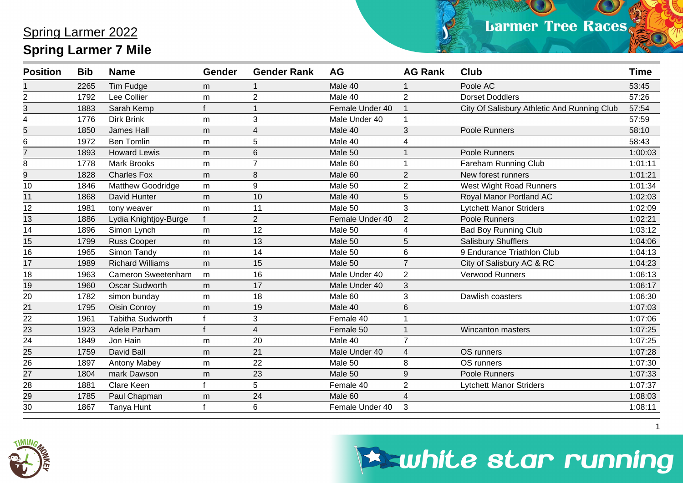| <b>Position</b> | <b>Bib</b> | <b>Name</b>               | <b>Gender</b> | <b>Gender Rank</b>      | AG              | <b>AG Rank</b> | <b>Club</b>                                 | <b>Time</b> |
|-----------------|------------|---------------------------|---------------|-------------------------|-----------------|----------------|---------------------------------------------|-------------|
|                 | 2265       | <b>Tim Fudge</b>          | m             |                         | Male 40         |                | Poole AC                                    | 53:45       |
| $\overline{2}$  | 1792       | Lee Collier               | m             | $\overline{2}$          | Male 40         | $\overline{2}$ | <b>Dorset Doddlers</b>                      | 57:26       |
| 3               | 1883       | Sarah Kemp                |               |                         | Female Under 40 |                | City Of Salisbury Athletic And Running Club | 57:54       |
| 4               | 1776       | <b>Dirk Brink</b>         | m             | 3                       | Male Under 40   |                |                                             | 57:59       |
| 5               | 1850       | <b>James Hall</b>         | m             | $\overline{\mathbf{4}}$ | Male 40         | 3              | Poole Runners                               | 58:10       |
| 6               | 1972       | <b>Ben Tomlin</b>         | m             | 5                       | Male 40         | 4              |                                             | 58:43       |
| $\overline{7}$  | 1893       | <b>Howard Lewis</b>       | m             | 6                       | Male 50         |                | Poole Runners                               | 1:00:03     |
| 8               | 1778       | <b>Mark Brooks</b>        | m             |                         | Male 60         |                | Fareham Running Club                        | 1:01:11     |
| 9               | 1828       | <b>Charles Fox</b>        | m             | 8                       | Male 60         | $\overline{2}$ | New forest runners                          | 1:01:21     |
| 10              | 1846       | Matthew Goodridge         | m             | 9                       | Male 50         | $\overline{2}$ | West Wight Road Runners                     | 1:01:34     |
| 11              | 1868       | David Hunter              | m             | 10                      | Male 40         | 5              | Royal Manor Portland AC                     | 1:02:03     |
| 12              | 1981       | tony weaver               | m             | 11                      | Male 50         | 3              | <b>Lytchett Manor Striders</b>              | 1:02:09     |
| 13              | 1886       | Lydia Knightjoy-Burge     |               | $\overline{2}$          | Female Under 40 | $\overline{2}$ | Poole Runners                               | 1:02:21     |
| 14              | 1896       | Simon Lynch               | m             | 12                      | Male 50         | 4              | <b>Bad Boy Running Club</b>                 | 1:03:12     |
| 15              | 1799       | <b>Russ Cooper</b>        | m             | 13                      | Male 50         | 5              | Salisbury Shufflers                         | 1:04:06     |
| 16              | 1965       | Simon Tandy               | m             | 14                      | Male 50         | 6              | 9 Endurance Triathlon Club                  | 1:04:13     |
| 17              | 1989       | <b>Richard Williams</b>   | m             | 15                      | Male 50         | $\overline{7}$ | City of Salisbury AC & RC                   | 1:04:23     |
| 18              | 1963       | <b>Cameron Sweetenham</b> | m             | 16                      | Male Under 40   | $\overline{2}$ | Verwood Runners                             | 1:06:13     |
| 19              | 1960       | <b>Oscar Sudworth</b>     | m             | 17                      | Male Under 40   | 3              |                                             | 1:06:17     |
| 20              | 1782       | simon bunday              | m             | 18                      | Male 60         | 3              | Dawlish coasters                            | 1:06:30     |
| 21              | 1795       | <b>Oisin Conroy</b>       | m             | 19                      | Male 40         | 6              |                                             | 1:07:03     |
| 22              | 1961       | <b>Tabitha Sudworth</b>   |               | 3                       | Female 40       |                |                                             | 1:07:06     |
| 23              | 1923       | Adele Parham              |               | $\overline{4}$          | Female 50       |                | <b>Wincanton masters</b>                    | 1:07:25     |
| 24              | 1849       | Jon Hain                  | m             | 20                      | Male 40         | $\overline{7}$ |                                             | 1:07:25     |
| $\frac{25}{26}$ | 1759       | David Ball                | m             | 21                      | Male Under 40   | $\overline{4}$ | OS runners                                  | 1:07:28     |
|                 | 1897       | <b>Antony Mabey</b>       | m             | $\overline{22}$         | Male 50         | 8              | OS runners                                  | 1:07:30     |
| 27              | 1804       | mark Dawson               | m             | 23                      | Male 50         | 9              | Poole Runners                               | 1:07:33     |
| $\overline{28}$ | 1881       | Clare Keen                |               | 5                       | Female 40       | $\overline{2}$ | <b>Lytchett Manor Striders</b>              | 1:07:37     |
| $\overline{29}$ | 1785       | Paul Chapman              | m             | 24                      | Male 60         | $\overline{4}$ |                                             | 1:08:03     |
| 30              | 1867       | Tanya Hunt                |               | 6                       | Female Under 40 | 3              |                                             | 1:08:11     |



### **Eswhite star running**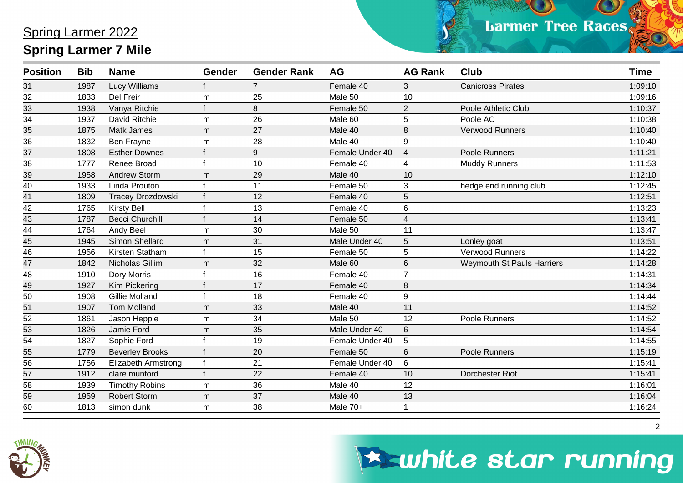$\bullet$ 

| <b>Position</b> | <b>Bib</b> | <b>Name</b>              | <b>Gender</b> | <b>Gender Rank</b> | AG              | <b>AG Rank</b> | <b>Club</b>                       | <b>Time</b> |
|-----------------|------------|--------------------------|---------------|--------------------|-----------------|----------------|-----------------------------------|-------------|
| 31              | 1987       | <b>Lucy Williams</b>     |               | $\overline{7}$     | Female 40       | 3              | <b>Canicross Pirates</b>          | 1:09:10     |
| $\overline{32}$ | 1833       | Del Freir                | m             | 25                 | Male 50         | 10             |                                   | 1:09:16     |
| 33              | 1938       | Vanya Ritchie            |               | 8                  | Female 50       | $\overline{2}$ | Poole Athletic Club               | 1:10:37     |
| $\overline{34}$ | 1937       | David Ritchie            | m             | 26                 | Male 60         | 5              | Poole AC                          | 1:10:38     |
| $\overline{35}$ | 1875       | <b>Matk James</b>        | m             | 27                 | Male 40         | 8              | <b>Verwood Runners</b>            | 1:10:40     |
| 36              | 1832       | Ben Frayne               | m             | 28                 | Male 40         | 9              |                                   | 1:10:40     |
| 37              | 1808       | <b>Esther Downes</b>     |               | 9                  | Female Under 40 | $\overline{4}$ | Poole Runners                     | 1:11:21     |
| $\overline{38}$ | 1777       | Renee Broad              |               | 10                 | Female 40       |                | <b>Muddy Runners</b>              | 1:11:53     |
| 39              | 1958       | Andrew Storm             | m             | 29                 | Male 40         | 10             |                                   | 1:12:10     |
| 40              | 1933       | <b>Linda Prouton</b>     |               | 11                 | Female 50       | 3              | hedge end running club            | 1:12:45     |
| 41              | 1809       | <b>Tracey Drozdowski</b> |               | 12                 | Female 40       | 5              |                                   | 1:12:51     |
| 42              | 1765       | <b>Kirsty Bell</b>       |               | 13                 | Female 40       | 6              |                                   | 1:13:23     |
| 43              | 1787       | <b>Becci Churchill</b>   |               | 14                 | Female 50       | 4              |                                   | 1:13:41     |
| 44              | 1764       | Andy Beel                | m             | 30                 | Male 50         | 11             |                                   | 1:13:47     |
| 45              | 1945       | Simon Shellard           | m             | 31                 | Male Under 40   | 5              | Lonley goat                       | 1:13:51     |
| 46              | 1956       | Kirsten Statham          |               | 15                 | Female 50       | 5              | Verwood Runners                   | 1:14:22     |
| $\frac{1}{47}$  | 1842       | Nicholas Gillim          | m             | 32                 | Male 60         | 6              | <b>Weymouth St Pauls Harriers</b> | 1:14:28     |
| 48              | 1910       | Dory Morris              |               | 16                 | Female 40       | $\overline{7}$ |                                   | 1:14:31     |
| $\frac{49}{5}$  | 1927       | <b>Kim Pickering</b>     |               | 17                 | Female 40       | 8              |                                   | 1:14:34     |
| 50              | 1908       | <b>Gillie Molland</b>    |               | 18                 | Female 40       | 9              |                                   | 1:14:44     |
| $\overline{51}$ | 1907       | <b>Tom Molland</b>       | m             | 33                 | Male 40         | 11             |                                   | 1:14:52     |
| $\frac{1}{52}$  | 1861       | Jason Hepple             | m             | 34                 | Male 50         | 12             | Poole Runners                     | 1:14:52     |
| 53              | 1826       | Jamie Ford               | m             | 35                 | Male Under 40   | 6              |                                   | 1:14:54     |
| 54              | 1827       | Sophie Ford              |               | 19                 | Female Under 40 | 5              |                                   | 1:14:55     |
| $\overline{55}$ | 1779       | <b>Beverley Brooks</b>   |               | 20                 | Female 50       | 6              | Poole Runners                     | 1:15:19     |
| 56              | 1756       | Elizabeth Armstrong      |               | 21                 | Female Under 40 | 6              |                                   | 1:15:41     |
| $\overline{57}$ | 1912       | clare munford            |               | 22                 | Female 40       | 10             | Dorchester Riot                   | 1:15:41     |
| 58              | 1939       | <b>Timothy Robins</b>    | m             | 36                 | Male 40         | 12             |                                   | 1:16:01     |
| $\overline{59}$ | 1959       | <b>Robert Storm</b>      | m             | 37                 | Male 40         | 13             |                                   | 1:16:04     |
| 60              | 1813       | simon dunk               | m             | 38                 | Male 70+        |                |                                   | 1:16:24     |



### **Eswhite star running**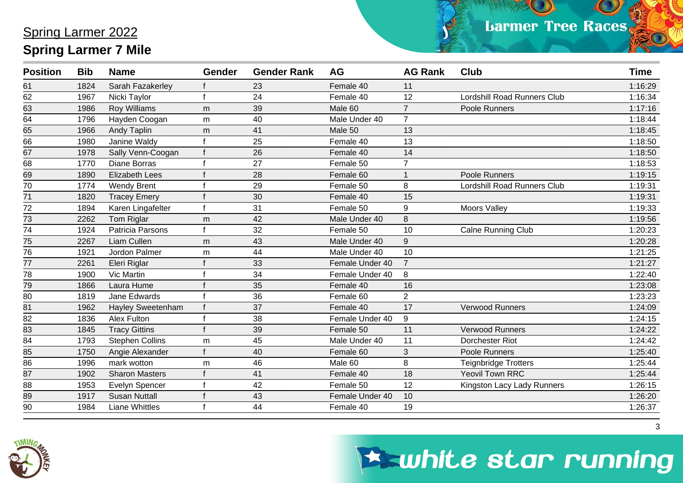$\bullet$ 

| <b>Position</b> | <b>Bib</b> | <b>Name</b>              | <b>Gender</b> | <b>Gender Rank</b> | <b>AG</b>       | <b>AG Rank</b> | <b>Club</b>                        | <b>Time</b> |
|-----------------|------------|--------------------------|---------------|--------------------|-----------------|----------------|------------------------------------|-------------|
| 61              | 1824       | Sarah Fazakerley         |               | 23                 | Female 40       | 11             |                                    | 1:16:29     |
| 62              | 1967       | Nicki Taylor             |               | 24                 | Female 40       | 12             | <b>Lordshill Road Runners Club</b> | 1:16:34     |
| 63              | 1986       | <b>Roy Williams</b>      | m             | 39                 | Male 60         | $\overline{7}$ | Poole Runners                      | 1:17:16     |
| 64              | 1796       | Hayden Coogan            | m             | 40                 | Male Under 40   | $\overline{7}$ |                                    | 1:18:44     |
| $\overline{65}$ | 1966       | <b>Andy Taplin</b>       | m             | 41                 | Male 50         | 13             |                                    | 1:18:45     |
| 66              | 1980       | Janine Waldy             |               | 25                 | Female 40       | 13             |                                    | 1:18:50     |
| 67              | 1978       | Sally Venn-Coogan        |               | 26                 | Female 40       | 14             |                                    | 1:18:50     |
| 68              | 1770       | <b>Diane Borras</b>      |               | 27                 | Female 50       | $\overline{7}$ |                                    | 1:18:53     |
| 69              | 1890       | <b>Elizabeth Lees</b>    |               | 28                 | Female 60       |                | Poole Runners                      | 1:19:15     |
| 70              | 1774       | <b>Wendy Brent</b>       |               | 29                 | Female 50       | 8              | Lordshill Road Runners Club        | 1:19:31     |
| 71              | 1820       | <b>Tracey Emery</b>      |               | 30                 | Female 40       | 15             |                                    | 1:19:31     |
| 72              | 1894       | Karen Lingafelter        |               | 31                 | Female 50       | 9              | <b>Moors Valley</b>                | 1:19:33     |
| 73              | 2262       | Tom Riglar               | m             | 42                 | Male Under 40   | 8              |                                    | 1:19:56     |
| 74              | 1924       | Patricia Parsons         |               | 32                 | Female 50       | 10             | <b>Calne Running Club</b>          | 1:20:23     |
| 75              | 2267       | Liam Cullen              | m             | 43                 | Male Under 40   | 9              |                                    | 1:20:28     |
| $\overline{76}$ | 1921       | Jordon Palmer            | m             | 44                 | Male Under 40   | 10             |                                    | 1:21:25     |
| 77              | 2261       | Eleri Riglar             |               | 33                 | Female Under 40 | $\overline{7}$ |                                    | 1:21:27     |
| 78              | 1900       | Vic Martin               |               | 34                 | Female Under 40 | 8              |                                    | 1:22:40     |
| 79              | 1866       | Laura Hume               |               | 35                 | Female 40       | 16             |                                    | 1:23:08     |
| 80              | 1819       | Jane Edwards             |               | 36                 | Female 60       | $\overline{2}$ |                                    | 1:23:23     |
| 81              | 1962       | <b>Hayley Sweetenham</b> |               | 37                 | Female 40       | 17             | <b>Verwood Runners</b>             | 1:24:09     |
| 82              | 1836       | Alex Fulton              |               | 38                 | Female Under 40 | 9              |                                    | 1:24:15     |
| $\overline{83}$ | 1845       | <b>Tracy Gittins</b>     |               | 39                 | Female 50       | 11             | <b>Verwood Runners</b>             | 1:24:22     |
| 84              | 1793       | <b>Stephen Collins</b>   | m             | 45                 | Male Under 40   | 11             | Dorchester Riot                    | 1:24:42     |
| 85              | 1750       | Angie Alexander          |               | 40                 | Female 60       | 3              | Poole Runners                      | 1:25:40     |
| 86              | 1996       | mark wotton              | m             | 46                 | Male 60         | 8              | <b>Teignbridge Trotters</b>        | 1:25:44     |
| $\overline{87}$ | 1902       | <b>Sharon Masters</b>    |               | 41                 | Female 40       | 18             | <b>Yeovil Town RRC</b>             | 1:25:44     |
| 88              | 1953       | Evelyn Spencer           |               | 42                 | Female 50       | 12             | Kingston Lacy Lady Runners         | 1:26:15     |
| 89              | 1917       | <b>Susan Nuttall</b>     |               | 43                 | Female Under 40 | 10             |                                    | 1:26:20     |
| 90              | 1984       | <b>Liane Whittles</b>    |               | 44                 | Female 40       | 19             |                                    | 1:26:37     |



# **Eswhite star running**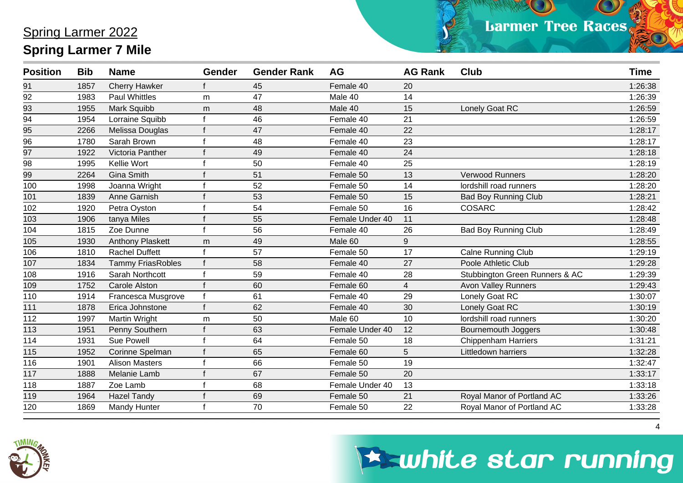$\bullet$ 

| <b>Position</b>  | <b>Bib</b> | <b>Name</b>              | <b>Gender</b> | <b>Gender Rank</b> | <b>AG</b>       | <b>AG Rank</b>  | Club                           | <b>Time</b> |
|------------------|------------|--------------------------|---------------|--------------------|-----------------|-----------------|--------------------------------|-------------|
| 91               | 1857       | <b>Cherry Hawker</b>     |               | 45                 | Female 40       | 20              |                                | 1:26:38     |
| 92               | 1983       | <b>Paul Whittles</b>     | m             | 47                 | Male 40         | 14              |                                | 1:26:39     |
| 93               | 1955       | Mark Squibb              | m             | 48                 | Male 40         | 15              | Lonely Goat RC                 | 1:26:59     |
| $\overline{94}$  | 1954       | Lorraine Squibb          |               | 46                 | Female 40       | 21              |                                | 1:26:59     |
| $\overline{95}$  | 2266       | Melissa Douglas          |               | 47                 | Female 40       | 22              |                                | 1:28:17     |
| 96               | 1780       | Sarah Brown              |               | 48                 | Female 40       | 23              |                                | 1:28:17     |
| 97               | 1922       | Victoria Panther         |               | 49                 | Female 40       | 24              |                                | 1:28:18     |
| 98               | 1995       | Kellie Wort              |               | 50                 | Female 40       | 25              |                                | 1:28:19     |
| 99               | 2264       | <b>Gina Smith</b>        |               | 51                 | Female 50       | 13              | <b>Verwood Runners</b>         | 1:28:20     |
| 100              | 1998       | Joanna Wright            |               | 52                 | Female 50       | 14              | lordshill road runners         | 1:28:20     |
| 101              | 1839       | Anne Garnish             |               | 53                 | Female 50       | 15              | <b>Bad Boy Running Club</b>    | 1:28:21     |
| 102              | 1920       | Petra Oyston             |               | 54                 | Female 50       | 16              | <b>COSARC</b>                  | 1:28:42     |
| 103              | 1906       | tanya Miles              |               | 55                 | Female Under 40 | 11              |                                | 1:28:48     |
| 104              | 1815       | Zoe Dunne                |               | 56                 | Female 40       | 26              | <b>Bad Boy Running Club</b>    | 1:28:49     |
| 105              | 1930       | <b>Anthony Plaskett</b>  | m             | 49                 | Male 60         | 9               |                                | 1:28:55     |
| $\overline{106}$ | 1810       | <b>Rachel Duffett</b>    |               | $\overline{57}$    | Female 50       | $\overline{17}$ | <b>Calne Running Club</b>      | 1:29:19     |
| 107              | 1834       | <b>Tammy FriasRobles</b> |               | 58                 | Female 40       | 27              | Poole Athletic Club            | 1:29:28     |
| 108              | 1916       | Sarah Northcott          |               | 59                 | Female 40       | 28              | Stubbington Green Runners & AC | 1:29:39     |
| 109              | 1752       | <b>Carole Alston</b>     |               | 60                 | Female 60       | $\overline{4}$  | <b>Avon Valley Runners</b>     | 1:29:43     |
| 110              | 1914       | Francesca Musgrove       |               | 61                 | Female 40       | 29              | Lonely Goat RC                 | 1:30:07     |
| 111              | 1878       | Erica Johnstone          |               | 62                 | Female 40       | 30              | Lonely Goat RC                 | 1:30:19     |
| 112              | 1997       | <b>Martin Wright</b>     | m             | 50                 | Male 60         | 10              | lordshill road runners         | 1:30:20     |
| 113              | 1951       | Penny Southern           |               | 63                 | Female Under 40 | 12              | Bournemouth Joggers            | 1:30:48     |
| 114              | 1931       | <b>Sue Powell</b>        |               | 64                 | Female 50       | 18              | <b>Chippenham Harriers</b>     | 1:31:21     |
| 115              | 1952       | Corinne Spelman          |               | 65                 | Female 60       | 5               | Littledown harriers            | 1:32:28     |
| 116              | 1901       | <b>Alison Masters</b>    |               | 66                 | Female 50       | 19              |                                | 1:32:47     |
| 117              | 1888       | Melanie Lamb             |               | 67                 | Female 50       | 20              |                                | 1:33:17     |
| 118              | 1887       | Zoe Lamb                 |               | 68                 | Female Under 40 | 13              |                                | 1:33:18     |
| 119              | 1964       | <b>Hazel Tandy</b>       |               | 69                 | Female 50       | 21              | Royal Manor of Portland AC     | 1:33:26     |
| 120              | 1869       | <b>Mandy Hunter</b>      |               | 70                 | Female 50       | 22              | Royal Manor of Portland AC     | 1:33:28     |



### **Eswhite star running**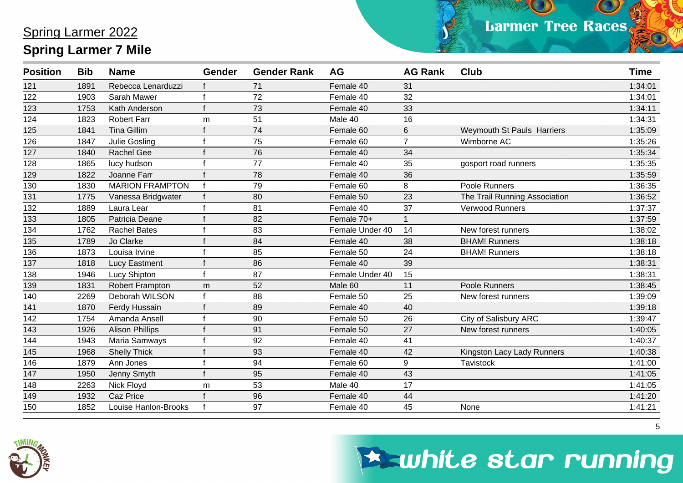| <b>Position</b> | <b>Bib</b> | <b>Name</b>            | <b>Gender</b> | <b>Gender Rank</b> | <b>AG</b>       | <b>AG Rank</b>  | <b>Club</b>                   | <b>Time</b> |
|-----------------|------------|------------------------|---------------|--------------------|-----------------|-----------------|-------------------------------|-------------|
| 121             | 1891       | Rebecca Lenarduzzi     |               | 71                 | Female 40       | 31              |                               | 1:34:01     |
| 122             | 1903       | Sarah Mawer            |               | 72                 | Female 40       | 32              |                               | 1:34:01     |
| 123             | 1753       | Kath Anderson          |               | 73                 | Female 40       | 33              |                               | 1:34:11     |
| 124             | 1823       | <b>Robert Farr</b>     | m             | 51                 | Male 40         | 16              |                               | 1:34:31     |
| 125             | 1841       | <b>Tina Gillim</b>     |               | 74                 | Female 60       | $\,6$           | Weymouth St Pauls Harriers    | 1:35:09     |
| 126             | 1847       | <b>Julie Gosling</b>   |               | 75                 | Female 60       | $\overline{7}$  | Wimborne AC                   | 1:35:26     |
| 127             | 1840       | Rachel Gee             |               | 76                 | Female 40       | 34              |                               | 1:35:34     |
| 128             | 1865       | lucy hudson            |               | 77                 | Female 40       | 35              | gosport road runners          | 1:35:35     |
| 129             | 1822       | Joanne Farr            |               | 78                 | Female 40       | 36              |                               | 1:35:59     |
| 130             | 1830       | <b>MARION FRAMPTON</b> | $\mathbf f$   | 79                 | Female 60       | 8               | Poole Runners                 | 1:36:35     |
| 131             | 1775       | Vanessa Bridgwater     |               | 80                 | Female 50       | 23              | The Trail Running Association | 1:36:52     |
| 132             | 1889       | Laura Lear             |               | 81                 | Female 40       | $\overline{37}$ | Verwood Runners               | 1:37:37     |
| 133             | 1805       | Patricia Deane         |               | 82                 | Female 70+      |                 |                               | 1:37:59     |
| 134             | 1762       | <b>Rachel Bates</b>    |               | 83                 | Female Under 40 | 14              | New forest runners            | 1:38:02     |
| 135             | 1789       | Jo Clarke              |               | 84                 | Female 40       | 38              | <b>BHAM! Runners</b>          | 1:38:18     |
| 136             | 1873       | Louisa Irvine          |               | 85                 | Female 50       | 24              | <b>BHAM! Runners</b>          | 1:38:18     |
| 137             | 1818       | Lucy Eastment          |               | 86                 | Female 40       | 39              |                               | 1:38:31     |
| 138             | 1946       | <b>Lucy Shipton</b>    |               | 87                 | Female Under 40 | 15              |                               | 1:38:31     |
| 139             | 1831       | Robert Frampton        | m             | 52                 | Male 60         | 11              | Poole Runners                 | 1:38:45     |
| 140             | 2269       | Deborah WILSON         |               | 88                 | Female 50       | 25              | New forest runners            | 1:39:09     |
| 141             | 1870       | Ferdy Hussain          |               | 89                 | Female 40       | 40              |                               | 1:39:18     |
| 142             | 1754       | Amanda Ansell          |               | 90                 | Female 50       | 26              | City of Salisbury ARC         | 1:39:47     |
| 143             | 1926       | <b>Alison Phillips</b> |               | 91                 | Female 50       | 27              | New forest runners            | 1:40:05     |
| 144             | 1943       | Maria Samways          |               | 92                 | Female 40       | 41              |                               | 1:40:37     |
| 145             | 1968       | <b>Shelly Thick</b>    |               | 93                 | Female 40       | 42              | Kingston Lacy Lady Runners    | 1:40:38     |
| 146             | 1879       | Ann Jones              |               | 94                 | Female 60       | 9               | Tavistock                     | 1:41:00     |
| 147             | 1950       | Jenny Smyth            |               | 95                 | Female 40       | 43              |                               | 1:41:05     |
| 148             | 2263       | Nick Floyd             | m             | 53                 | Male 40         | 17              |                               | 1:41:05     |
| 149             | 1932       | Caz Price              |               | 96                 | Female 40       | 44              |                               | 1:41:20     |
| 150             | 1852       | Louise Hanlon-Brooks   |               | 97                 | Female 40       | 45              | None                          | 1:41:21     |



## **Eswhite star running**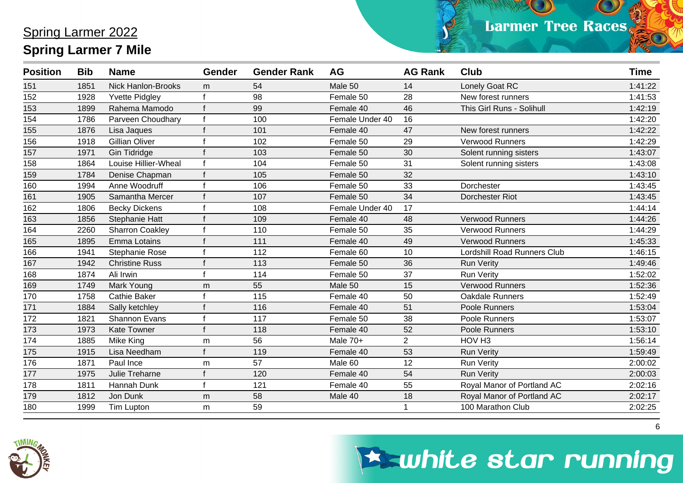| <b>Position</b> | <b>Bib</b> | <b>Name</b>               | <b>Gender</b> | <b>Gender Rank</b> | <b>AG</b>       | <b>AG Rank</b> | <b>Club</b>                        | <b>Time</b> |
|-----------------|------------|---------------------------|---------------|--------------------|-----------------|----------------|------------------------------------|-------------|
| 151             | 1851       | <b>Nick Hanlon-Brooks</b> | m             | 54                 | Male 50         | 14             | Lonely Goat RC                     | 1:41:22     |
| 152             | 1928       | <b>Yvette Pidgley</b>     |               | 98                 | Female 50       | 28             | New forest runners                 | 1:41:53     |
| 153             | 1899       | Rahema Mamodo             |               | 99                 | Female 40       | 46             | This Girl Runs - Solihull          | 1:42:19     |
| 154             | 1786       | Parveen Choudhary         |               | 100                | Female Under 40 | 16             |                                    | 1:42:20     |
| 155             | 1876       | Lisa Jaques               |               | 101                | Female 40       | 47             | New forest runners                 | 1:42:22     |
| 156             | 1918       | <b>Gillian Oliver</b>     |               | 102                | Female 50       | 29             | <b>Verwood Runners</b>             | 1:42:29     |
| 157             | 1971       | <b>Gin Tidridge</b>       |               | 103                | Female 50       | 30             | Solent running sisters             | 1:43:07     |
| 158             | 1864       | Louise Hillier-Wheal      |               | 104                | Female 50       | 31             | Solent running sisters             | 1:43:08     |
| 159             | 1784       | Denise Chapman            |               | 105                | Female 50       | 32             |                                    | 1:43:10     |
| 160             | 1994       | Anne Woodruff             |               | 106                | Female 50       | 33             | Dorchester                         | 1:43:45     |
| 161             | 1905       | Samantha Mercer           |               | 107                | Female 50       | 34             | Dorchester Riot                    | 1:43:45     |
| 162             | 1806       | <b>Becky Dickens</b>      |               | 108                | Female Under 40 | 17             |                                    | 1:44:14     |
| 163             | 1856       | <b>Stephanie Hatt</b>     |               | 109                | Female 40       | 48             | <b>Verwood Runners</b>             | 1:44:26     |
| 164             | 2260       | <b>Sharron Coakley</b>    |               | 110                | Female 50       | 35             | <b>Verwood Runners</b>             | 1:44:29     |
| 165             | 1895       | Emma Lotains              |               | 111                | Female 40       | 49             | <b>Verwood Runners</b>             | 1:45:33     |
| 166             | 1941       | Stephanie Rose            |               | 112                | Female 60       | 10             | <b>Lordshill Road Runners Club</b> | 1:46:15     |
| 167             | 1942       | <b>Christine Russ</b>     |               | 113                | Female 50       | 36             | <b>Run Verity</b>                  | 1:49:46     |
| 168             | 1874       | Ali Irwin                 |               | 114                | Female 50       | 37             | <b>Run Verity</b>                  | 1:52:02     |
| 169             | 1749       | Mark Young                | m             | 55                 | Male 50         | 15             | <b>Verwood Runners</b>             | 1:52:36     |
| 170             | 1758       | <b>Cathie Baker</b>       |               | 115                | Female 40       | 50             | Oakdale Runners                    | 1:52:49     |
| 171             | 1884       | Sally ketchley            |               | 116                | Female 40       | 51             | Poole Runners                      | 1:53:04     |
| 172             | 1821       | Shannon Evans             |               | 117                | Female 50       | 38             | Poole Runners                      | 1:53:07     |
| 173             | 1973       | <b>Kate Towner</b>        |               | 118                | Female 40       | 52             | Poole Runners                      | 1:53:10     |
| 174             | 1885       | Mike King                 | m             | 56                 | Male 70+        | $\overline{2}$ | HOV <sub>H3</sub>                  | 1:56:14     |
| 175             | 1915       | Lisa Needham              |               | 119                | Female 40       | 53             | <b>Run Verity</b>                  | 1:59:49     |
| 176             | 1871       | Paul Ince                 | m             | 57                 | Male 60         | 12             | <b>Run Verity</b>                  | 2:00:02     |
| 177             | 1975       | Julie Treharne            |               | 120                | Female 40       | 54             | <b>Run Verity</b>                  | 2:00:03     |
| 178             | 1811       | Hannah Dunk               |               | 121                | Female 40       | 55             | Royal Manor of Portland AC         | 2:02:16     |
| 179             | 1812       | Jon Dunk                  | m             | 58                 | Male 40         | 18             | Royal Manor of Portland AC         | 2:02:17     |
| 180             | 1999       | Tim Lupton                | m             | 59                 |                 |                | 100 Marathon Club                  | 2:02:25     |



## **Eswhite star running**